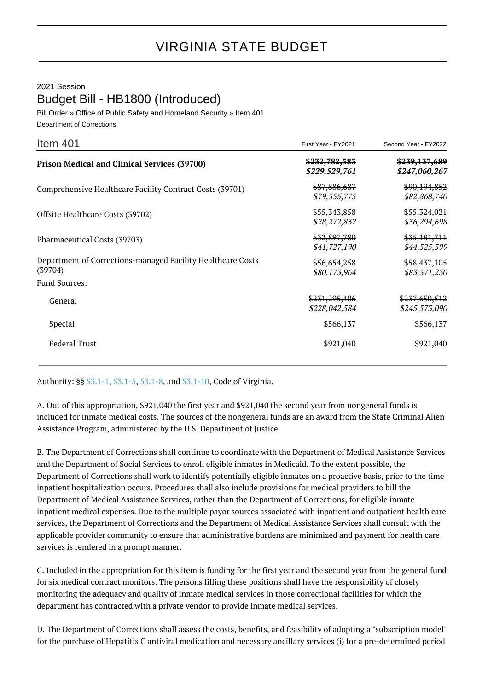## 2021 Session Budget Bill - HB1800 (Introduced)

Bill Order » Office of Public Safety and Homeland Security » Item 401 Department of Corrections

| Item $401$                                                             | First Year - FY2021            | Second Year - FY2022           |
|------------------------------------------------------------------------|--------------------------------|--------------------------------|
| <b>Prison Medical and Clinical Services (39700)</b>                    | \$232,782,583<br>\$229,529,761 | \$239,137,689<br>\$247,060,267 |
| Comprehensive Healthcare Facility Contract Costs (39701)               | \$87,886,687<br>\$79,355,775   | \$90,194,852<br>\$82,868,740   |
| Offsite Healthcare Costs (39702)                                       | \$55,343,858<br>\$28,272,832   | \$55,324,021<br>\$36,294,698   |
| Pharmaceutical Costs (39703)                                           | \$32,897,780<br>\$41,727,190   | \$35,181,711<br>\$44,525,599   |
| Department of Corrections-managed Facility Healthcare Costs<br>(39704) | \$56,654,258<br>\$80,173,964   | \$58,437,105<br>\$83,371,230   |
| <b>Fund Sources:</b>                                                   |                                |                                |
| General                                                                | \$231,295,406<br>\$228,042,584 | \$237,650,512<br>\$245,573,090 |
| Special                                                                | \$566,137                      | \$566,137                      |
| <b>Federal Trust</b>                                                   | \$921,040                      | \$921,040                      |

Authority: §§ [53.1-1](http://law.lis.virginia.gov/vacode/53.1-1/), [53.1-5,](http://law.lis.virginia.gov/vacode/53.1-5/) [53.1-8,](http://law.lis.virginia.gov/vacode/53.1-8/) and [53.1-10](http://law.lis.virginia.gov/vacode/53.1-10/), Code of Virginia.

A. Out of this appropriation, \$921,040 the first year and \$921,040 the second year from nongeneral funds is included for inmate medical costs. The sources of the nongeneral funds are an award from the State Criminal Alien Assistance Program, administered by the U.S. Department of Justice.

B. The Department of Corrections shall continue to coordinate with the Department of Medical Assistance Services and the Department of Social Services to enroll eligible inmates in Medicaid. To the extent possible, the Department of Corrections shall work to identify potentially eligible inmates on a proactive basis, prior to the time inpatient hospitalization occurs. Procedures shall also include provisions for medical providers to bill the Department of Medical Assistance Services, rather than the Department of Corrections, for eligible inmate inpatient medical expenses. Due to the multiple payor sources associated with inpatient and outpatient health care services, the Department of Corrections and the Department of Medical Assistance Services shall consult with the applicable provider community to ensure that administrative burdens are minimized and payment for health care services is rendered in a prompt manner.

C. Included in the appropriation for this item is funding for the first year and the second year from the general fund for six medical contract monitors. The persons filling these positions shall have the responsibility of closely monitoring the adequacy and quality of inmate medical services in those correctional facilities for which the department has contracted with a private vendor to provide inmate medical services.

D. The Department of Corrections shall assess the costs, benefits, and feasibility of adopting a "subscription model" for the purchase of Hepatitis C antiviral medication and necessary ancillary services (i) for a pre-determined period